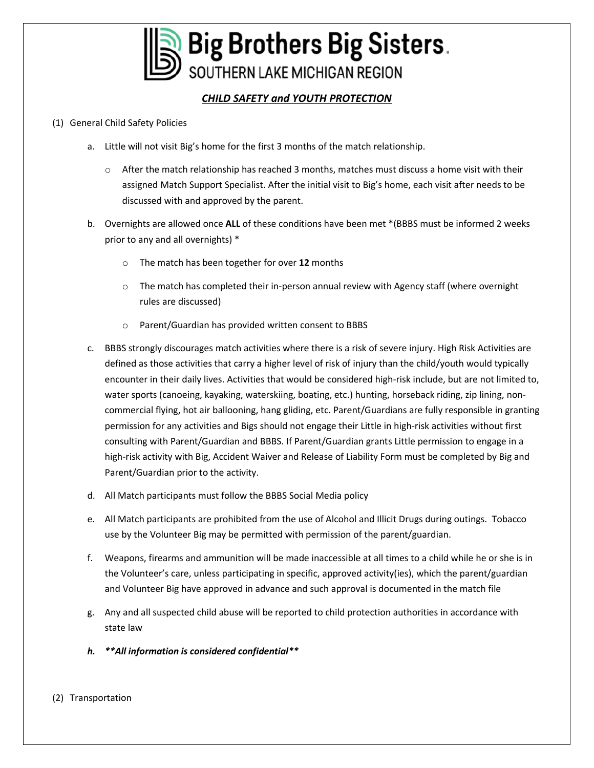

# *CHILD SAFETY and YOUTH PROTECTION*

### (1) General Child Safety Policies

- a. Little will not visit Big's home for the first 3 months of the match relationship.
	- o After the match relationship has reached 3 months, matches must discuss a home visit with their assigned Match Support Specialist. After the initial visit to Big's home, each visit after needs to be discussed with and approved by the parent.
- b. Overnights are allowed once **ALL** of these conditions have been met \*(BBBS must be informed 2 weeks prior to any and all overnights) \*
	- o The match has been together for over **12** months
	- $\circ$  The match has completed their in-person annual review with Agency staff (where overnight rules are discussed)
	- o Parent/Guardian has provided written consent to BBBS
- c. BBBS strongly discourages match activities where there is a risk of severe injury. High Risk Activities are defined as those activities that carry a higher level of risk of injury than the child/youth would typically encounter in their daily lives. Activities that would be considered high-risk include, but are not limited to, water sports (canoeing, kayaking, waterskiing, boating, etc.) hunting, horseback riding, zip lining, noncommercial flying, hot air ballooning, hang gliding, etc. Parent/Guardians are fully responsible in granting permission for any activities and Bigs should not engage their Little in high-risk activities without first consulting with Parent/Guardian and BBBS. If Parent/Guardian grants Little permission to engage in a high-risk activity with Big, Accident Waiver and Release of Liability Form must be completed by Big and Parent/Guardian prior to the activity.
- d. All Match participants must follow the BBBS Social Media policy
- e. All Match participants are prohibited from the use of Alcohol and Illicit Drugs during outings. Tobacco use by the Volunteer Big may be permitted with permission of the parent/guardian.
- f. Weapons, firearms and ammunition will be made inaccessible at all times to a child while he or she is in the Volunteer's care, unless participating in specific, approved activity(ies), which the parent/guardian and Volunteer Big have approved in advance and such approval is documented in the match file
- g. Any and all suspected child abuse will be reported to child protection authorities in accordance with state law
- *h. \*\*All information is considered confidential\*\**
- (2) Transportation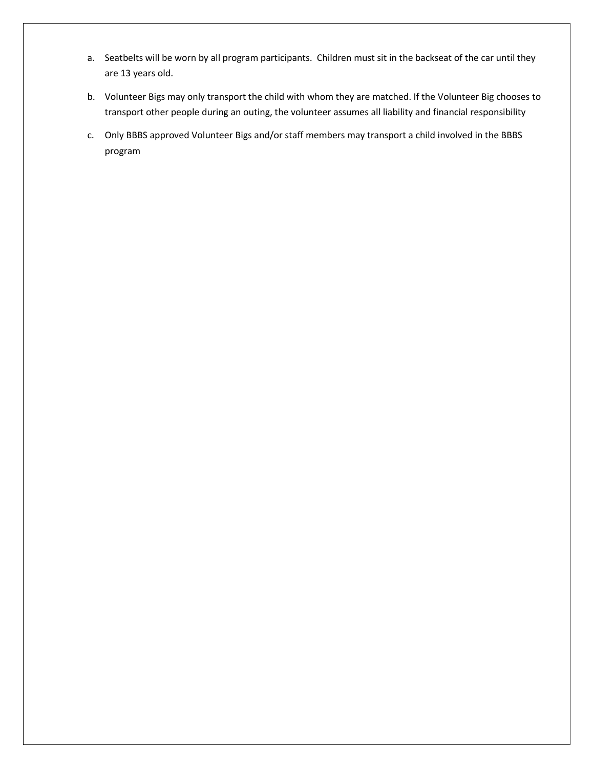- a. Seatbelts will be worn by all program participants. Children must sit in the backseat of the car until they are 13 years old.
- b. Volunteer Bigs may only transport the child with whom they are matched. If the Volunteer Big chooses to transport other people during an outing, the volunteer assumes all liability and financial responsibility
- c. Only BBBS approved Volunteer Bigs and/or staff members may transport a child involved in the BBBS program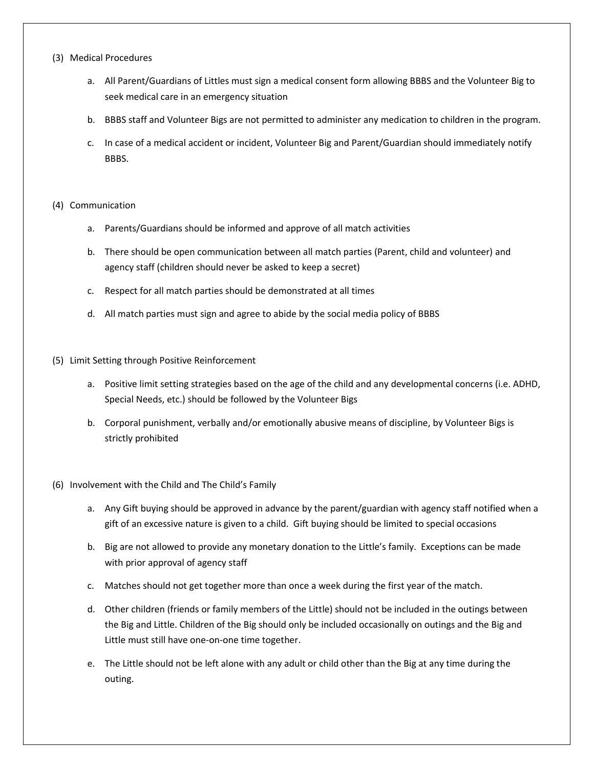#### (3) Medical Procedures

- a. All Parent/Guardians of Littles must sign a medical consent form allowing BBBS and the Volunteer Big to seek medical care in an emergency situation
- b. BBBS staff and Volunteer Bigs are not permitted to administer any medication to children in the program.
- c. In case of a medical accident or incident, Volunteer Big and Parent/Guardian should immediately notify BBBS.

#### (4) Communication

- a. Parents/Guardians should be informed and approve of all match activities
- b. There should be open communication between all match parties (Parent, child and volunteer) and agency staff (children should never be asked to keep a secret)
- c. Respect for all match parties should be demonstrated at all times
- d. All match parties must sign and agree to abide by the social media policy of BBBS
- (5) Limit Setting through Positive Reinforcement
	- a. Positive limit setting strategies based on the age of the child and any developmental concerns (i.e. ADHD, Special Needs, etc.) should be followed by the Volunteer Bigs
	- b. Corporal punishment, verbally and/or emotionally abusive means of discipline, by Volunteer Bigs is strictly prohibited

#### (6) Involvement with the Child and The Child's Family

- a. Any Gift buying should be approved in advance by the parent/guardian with agency staff notified when a gift of an excessive nature is given to a child. Gift buying should be limited to special occasions
- b. Big are not allowed to provide any monetary donation to the Little's family. Exceptions can be made with prior approval of agency staff
- c. Matches should not get together more than once a week during the first year of the match.
- d. Other children (friends or family members of the Little) should not be included in the outings between the Big and Little. Children of the Big should only be included occasionally on outings and the Big and Little must still have one-on-one time together.
- e. The Little should not be left alone with any adult or child other than the Big at any time during the outing.